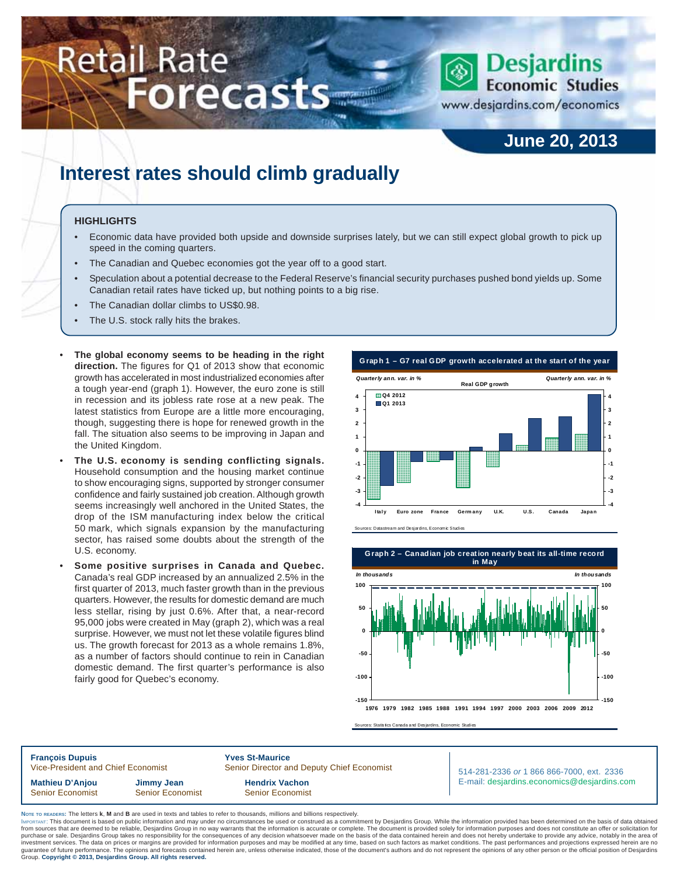# Retail Rate **Forecasts** June 2014 **Forecasts**

www.desjardins.com/economics

### **June 20, 2013**

### **Interest rates should climb gradually**

#### **HIGHLIGHTS**

- Economic data have provided both upside and downside surprises lately, but we can still expect global growth to pick up speed in the coming quarters.
- The Canadian and Quebec economies got the year off to a good start.
- Speculation about a potential decrease to the Federal Reserve's financial security purchases pushed bond yields up. Some Canadian retail rates have ticked up, but nothing points to a big rise.
- The Canadian dollar climbs to US\$0.98.
- The U.S. stock rally hits the brakes.
- **The global economy seems to be heading in the right direction.** The figures for Q1 of 2013 show that economic growth has accelerated in most industrialized economies after a tough year-end (graph 1). However, the euro zone is still in recession and its jobless rate rose at a new peak. The latest statistics from Europe are a little more encouraging, though, suggesting there is hope for renewed growth in the fall. The situation also seems to be improving in Japan and the United Kingdom.
- **The U.S. economy is sending conflicting signals.** Household consumption and the housing market continue to show encouraging signs, supported by stronger consumer confidence and fairly sustained job creation. Although growth seems increasingly well anchored in the United States, the drop of the ISM manufacturing index below the critical 50 mark, which signals expansion by the manufacturing sector, has raised some doubts about the strength of the U.S. economy.
- **Some positive surprises in Canada and Quebec.** Canada's real GDP increased by an annualized 2.5% in the first quarter of 2013, much faster growth than in the previous quarters. However, the results for domestic demand are much less stellar, rising by just 0.6%. After that, a near-record 95,000 jobs were created in May (graph 2), which was a real surprise. However, we must not let these volatile figures blind us. The growth forecast for 2013 as a whole remains 1.8%, as a number of factors should continue to rein in Canadian domestic demand. The first quarter's performance is also fairly good for Quebec's economy.

**G raph 1 – G7 real GDP growth accelerated at the start of the year Q4 2012 4 Real GDP growth** *Quarterly ann. var. in % Quarterly ann. var. in %*





**Graph 2 – Canadian job creation nearly beat its all-time record in May**



Sources: Statistics Canada and Desjardins, Economic Studies

**François Dupuis 1988**<br>Vice-President and Chief Economist 1988 Senior Director and Chief Economist Senior Director and Deputy Chief Economist **Mathieu D'Anjou Jimmy Jean Hendrix Vachon** Senior Economist Senior Economist Senior Senior Economist

514-281-2336 *or* 1 866 866-7000, ext. 2336 E-mail: desjardins.economics@desjardins.com

**NOTE TO READERS:** The letters **k**, **M** and **B** are used in texts and tables to refer to thousands, millions and billions respectively.

purchase or sale. Desjardins Group takes no responsibility for the consequences of any decision whatsoever made on the basis of the data contained herein and does not hereby undertake to provide any advice, notably in the IMPORTANT: This document is based on public information and may under no circumstances be used or construed as a commitment by Desjardins Group. While the information provided has been determined on the basis of data obtai from sources that are deemed to be reliable, Desjardins Group in no way warrants that the information is accurate or complete. The document is provided solely for information purposes and does not constitute an offer or so purchase or sale. Desjardins Group takes no responsibility for the consequences of any decision whatsoever made on the basis of the data contained herein and does not hereby undertake to provide any advice, notably in the Group. **Copyright © 2013, Desjardins Group. All rights reserved.**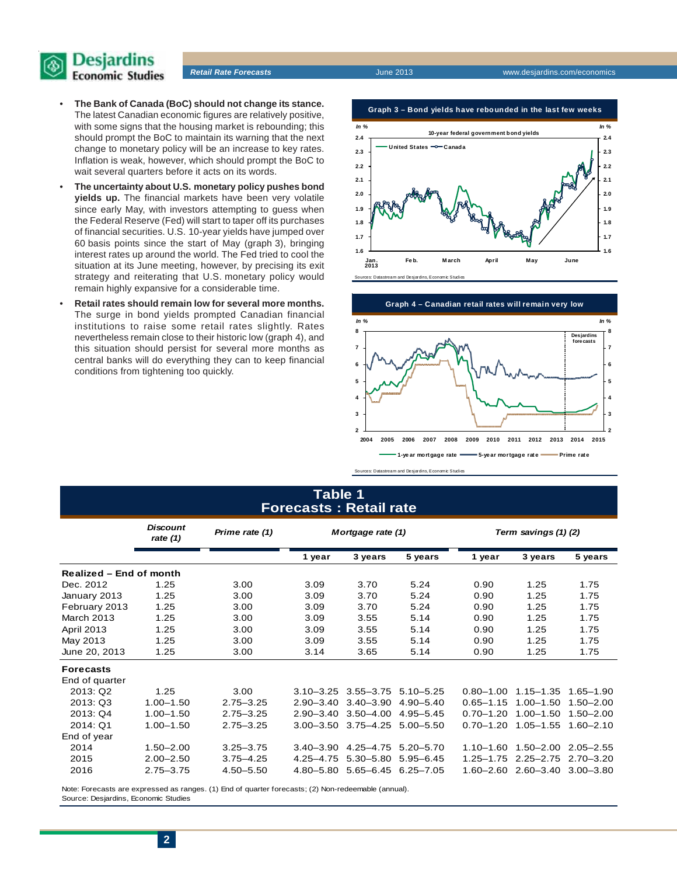

- **The Bank of Canada (BoC) should not change its stance.** The latest Canadian economic figures are relatively positive, with some signs that the housing market is rebounding; this should prompt the BoC to maintain its warning that the next change to monetary policy will be an increase to key rates. Inflation is weak, however, which should prompt the BoC to wait several quarters before it acts on its words.
- **The uncertainty about U.S. monetary policy pushes bond yields up.** The financial markets have been very volatile since early May, with investors attempting to guess when the Federal Reserve (Fed) will start to taper off its purchases of financial securities. U.S. 10-year yields have jumped over 60 basis points since the start of May (graph 3), bringing interest rates up around the world. The Fed tried to cool the situation at its June meeting, however, by precising its exit strategy and reiterating that U.S. monetary policy would remain highly expansive for a considerable time.
- **Retail rates should remain low for several more months.** The surge in bond yields prompted Canadian financial institutions to raise some retail rates slightly. Rates nevertheless remain close to their historic low (graph 4), and this situation should persist for several more months as central banks will do everything they can to keep financial conditions from tightening too quickly.

**Graph 3 – Bond yields have rebounded in the last few weeks**





Sources: Datastream and Desjardins, Economic Studies

### **Table 1 Forecasts : Retail rate**

|                         | <b>Discount</b><br>rate $(1)$ | Prime rate (1) | Mortgage rate (1) |               |               | Term savings (1)(2) |               |               |  |  |
|-------------------------|-------------------------------|----------------|-------------------|---------------|---------------|---------------------|---------------|---------------|--|--|
|                         |                               |                | 1 year            | 3 years       | 5 years       | 1 year              | 3 years       | 5 years       |  |  |
| Realized - End of month |                               |                |                   |               |               |                     |               |               |  |  |
| Dec. 2012               | 1.25                          | 3.00           | 3.09              | 3.70          | 5.24          | 0.90                | 1.25          | 1.75          |  |  |
| January 2013            | 1.25                          | 3.00           | 3.09              | 3.70          | 5.24          | 0.90                | 1.25          | 1.75          |  |  |
| February 2013           | 1.25                          | 3.00           | 3.09              | 3.70          | 5.24          | 0.90                | 1.25          | 1.75          |  |  |
| March 2013              | 1.25                          | 3.00           | 3.09              | 3.55          | 5.14          | 0.90                | 1.25          | 1.75          |  |  |
| April 2013              | 1.25                          | 3.00           | 3.09              | 3.55          | 5.14          | 0.90                | 1.25          | 1.75          |  |  |
| May 2013                | 1.25                          | 3.00           | 3.09              | 3.55          | 5.14          | 0.90                | 1.25          | 1.75          |  |  |
| June 20, 2013           | 1.25                          | 3.00           | 3.14              | 3.65          | 5.14          | 0.90                | 1.25          | 1.75          |  |  |
| <b>Forecasts</b>        |                               |                |                   |               |               |                     |               |               |  |  |
| End of quarter          |                               |                |                   |               |               |                     |               |               |  |  |
| 2013: Q2                | 1.25                          | 3.00           | $3.10 - 3.25$     | $3.55 - 3.75$ | $5.10 - 5.25$ | $0.80 - 1.00$       | $1.15 - 1.35$ | $1.65 - 1.90$ |  |  |
| 2013: Q3                | $1.00 - 1.50$                 | $2.75 - 3.25$  | $2.90 - 3.40$     | $3.40 - 3.90$ | $4.90 - 5.40$ | $0.65 - 1.15$       | $1.00 - 1.50$ | $1.50 - 2.00$ |  |  |
| 2013: Q4                | $1.00 - 1.50$                 | $2.75 - 3.25$  | $2.90 - 3.40$     | $3.50 - 4.00$ | $4.95 - 5.45$ | $0.70 - 1.20$       | $1.00 - 1.50$ | $1.50 - 2.00$ |  |  |
| 2014: Q1                | $1.00 - 1.50$                 | $2.75 - 3.25$  | $3.00 - 3.50$     | $3.75 - 4.25$ | $5.00 - 5.50$ | $0.70 - 1.20$       | $1.05 - 1.55$ | $1.60 - 2.10$ |  |  |
| End of year             |                               |                |                   |               |               |                     |               |               |  |  |
| 2014                    | $1.50 - 2.00$                 | $3.25 - 3.75$  | $3.40 - 3.90$     | $4.25 - 4.75$ | $5.20 - 5.70$ | $1.10 - 1.60$       | $1.50 - 2.00$ | $2.05 - 2.55$ |  |  |
| 2015                    | $2.00 - 2.50$                 | $3.75 - 4.25$  | $4.25 - 4.75$     | $5.30 - 5.80$ | $5.95 - 6.45$ | $1.25 - 1.75$       | $2.25 - 2.75$ | $2.70 - 3.20$ |  |  |
| 2016                    | $2.75 - 3.75$                 | $4.50 - 5.50$  | $4.80 - 5.80$     | $5.65 - 6.45$ | $6.25 - 7.05$ | $1.60 - 2.60$       | $2.60 - 3.40$ | $3.00 - 3.80$ |  |  |

Note: Forecasts are expressed as ranges. (1) End of quarter forecasts; (2) Non-redeemable (annual). Source: Desjardins, Economic Studies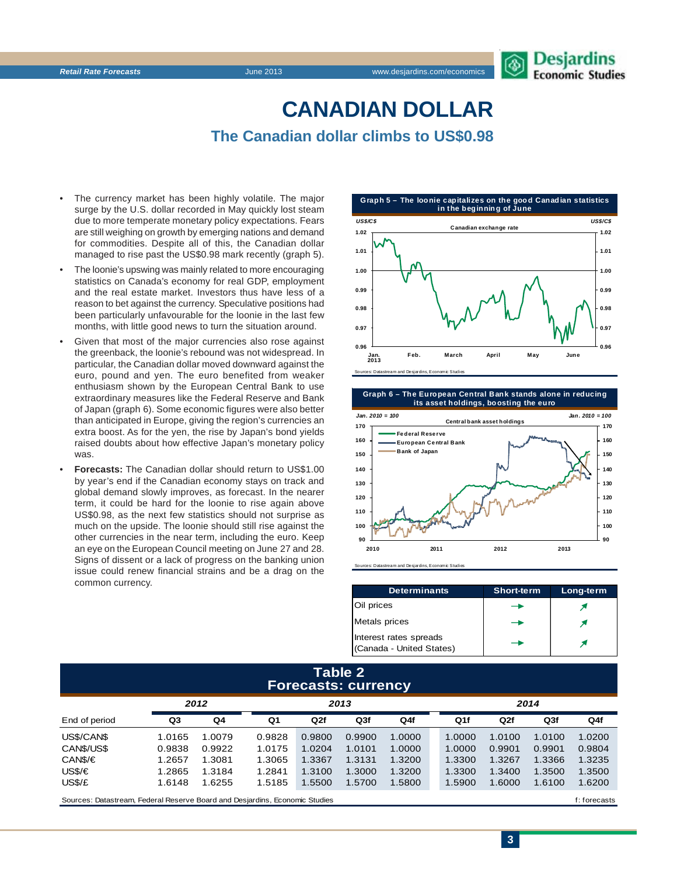## **CANADIAN DOLLAR**

**The Canadian dollar climbs to US\$0.98**

- The currency market has been highly volatile. The major surge by the U.S. dollar recorded in May quickly lost steam due to more temperate monetary policy expectations. Fears are still weighing on growth by emerging nations and demand for commodities. Despite all of this, the Canadian dollar managed to rise past the US\$0.98 mark recently (graph 5).
- The loonie's upswing was mainly related to more encouraging statistics on Canada's economy for real GDP, employment and the real estate market. Investors thus have less of a reason to bet against the currency. Speculative positions had been particularly unfavourable for the loonie in the last few months, with little good news to turn the situation around.
- Given that most of the major currencies also rose against the greenback, the loonie's rebound was not widespread. In particular, the Canadian dollar moved downward against the euro, pound and yen. The euro benefited from weaker enthusiasm shown by the European Central Bank to use extraordinary measures like the Federal Reserve and Bank of Japan (graph 6). Some economic figures were also better than anticipated in Europe, giving the region's currencies an extra boost. As for the yen, the rise by Japan's bond yields raised doubts about how effective Japan's monetary policy was.
- **Forecasts:** The Canadian dollar should return to US\$1.00 by year's end if the Canadian economy stays on track and global demand slowly improves, as forecast. In the nearer term, it could be hard for the loonie to rise again above US\$0.98, as the next few statistics should not surprise as much on the upside. The loonie should still rise against the other currencies in the near term, including the euro. Keep an eye on the European Council meeting on June 27 and 28. Signs of dissent or a lack of progress on the banking union issue could renew financial strains and be a drag on the common currency.





Sources: Datastream and Desjardins, Economic Studies

| <b>Determinants</b>                                | <b>Short-term</b> | Long-term |  |
|----------------------------------------------------|-------------------|-----------|--|
| Oil prices                                         |                   |           |  |
| Metals prices                                      |                   |           |  |
| Interest rates spreads<br>(Canada - United States) |                   |           |  |

### **Table 2 Forecasts: currency**

|                                                                             |        | 2012   |        | 2013   |                 |        |  | 2014   |              |                 |        |  |
|-----------------------------------------------------------------------------|--------|--------|--------|--------|-----------------|--------|--|--------|--------------|-----------------|--------|--|
| End of period                                                               | Q3     | Q4     | Q1     | Q2f    | Q <sub>3f</sub> | Q4f    |  | Q1f    | Q2f          | Q <sub>3f</sub> | Q4f    |  |
| US\$/CAN\$                                                                  | 1.0165 | 1.0079 | 0.9828 | 0.9800 | 0.9900          | 1.0000 |  | 1.0000 | 1.0100       | 1.0100          | 1.0200 |  |
| CANS/US\$                                                                   | 0.9838 | 0.9922 | 1.0175 | 1.0204 | 1.0101          | 1.0000 |  | 1.0000 | 0.9901       | 0.9901          | 0.9804 |  |
| CAN\$/€                                                                     | 1.2657 | 1.3081 | 1.3065 | 1.3367 | 1.3131          | 1.3200 |  | 1.3300 | 1.3267       | 1.3366          | 1.3235 |  |
| US\$/€                                                                      | 1.2865 | 1.3184 | 1.2841 | 1.3100 | 1.3000          | 1.3200 |  | 1.3300 | 1.3400       | 1.3500          | 1.3500 |  |
| US\$/£                                                                      | 1.6148 | 1.6255 | 1.5185 | 1.5500 | 1.5700          | 1.5800 |  | 1.5900 | 1.6000       | 1.6100          | 1.6200 |  |
| Sources: Datastream, Federal Reserve Board and Desiardins, Economic Studies |        |        |        |        |                 |        |  |        | f: forecasts |                 |        |  |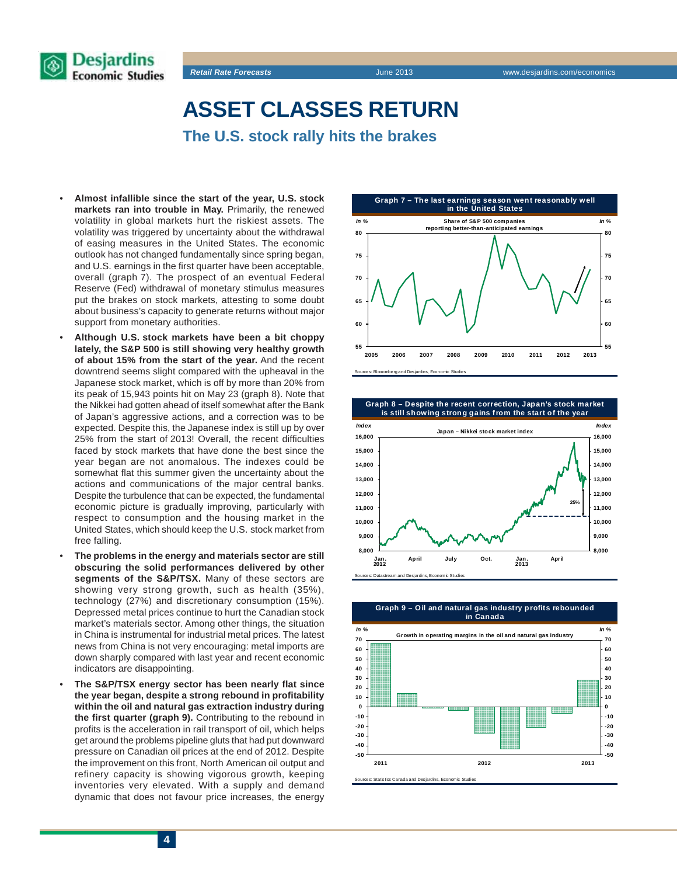

### **ASSET CLASSES RETURN**

**The U.S. stock rally hits the brakes**

- **Almost infallible since the start of the year, U.S. stock markets ran into trouble in May.** Primarily, the renewed volatility in global markets hurt the riskiest assets. The volatility was triggered by uncertainty about the withdrawal of easing measures in the United States. The economic outlook has not changed fundamentally since spring began, and U.S. earnings in the first quarter have been acceptable, overall (graph 7). The prospect of an eventual Federal Reserve (Fed) withdrawal of monetary stimulus measures put the brakes on stock markets, attesting to some doubt about business's capacity to generate returns without major support from monetary authorities.
- **Although U.S. stock markets have been a bit choppy lately, the S&P 500 is still showing very healthy growth of about 15% from the start of the year.** And the recent downtrend seems slight compared with the upheaval in the Japanese stock market, which is off by more than 20% from its peak of 15,943 points hit on May 23 (graph 8). Note that the Nikkei had gotten ahead of itself somewhat after the Bank of Japan's aggressive actions, and a correction was to be expected. Despite this, the Japanese index is still up by over 25% from the start of 2013! Overall, the recent difficulties faced by stock markets that have done the best since the year began are not anomalous. The indexes could be somewhat flat this summer given the uncertainty about the actions and communications of the major central banks. Despite the turbulence that can be expected, the fundamental economic picture is gradually improving, particularly with respect to consumption and the housing market in the United States, which should keep the U.S. stock market from free falling.
- **The problems in the energy and materials sector are still obscuring the solid performances delivered by other segments of the S&P/TSX.** Many of these sectors are showing very strong growth, such as health (35%), technology (27%) and discretionary consumption (15%). Depressed metal prices continue to hurt the Canadian stock market's materials sector. Among other things, the situation in China is instrumental for industrial metal prices. The latest news from China is not very encouraging: metal imports are down sharply compared with last year and recent economic indicators are disappointing.
- **The S&P/TSX energy sector has been nearly flat since the year began, despite a strong rebound in profitability within the oil and natural gas extraction industry during the first quarter (graph 9).** Contributing to the rebound in profits is the acceleration in rail transport of oil, which helps get around the problems pipeline gluts that had put downward pressure on Canadian oil prices at the end of 2012. Despite the improvement on this front, North American oil output and refinery capacity is showing vigorous growth, keeping inventories very elevated. With a supply and demand dynamic that does not favour price increases, the energy







#### **Graph 9 – Oil and natural gas industry profits rebounded**